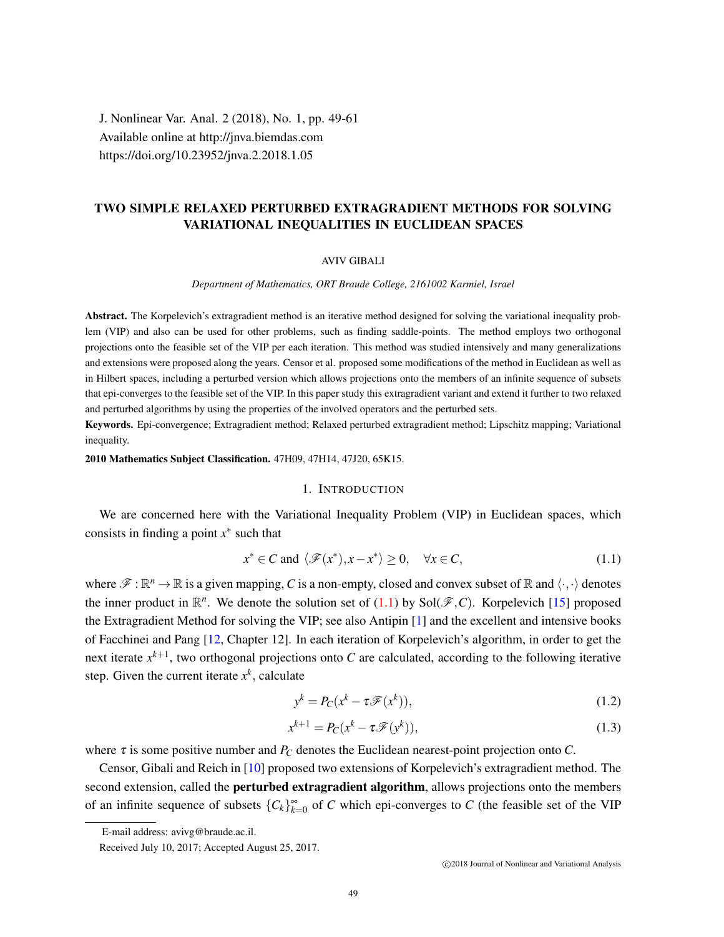J. Nonlinear Var. Anal. 2 (2018), No. 1, pp. 49-61 Available online at http://jnva.biemdas.com https://doi.org/10.23952/jnva.2.2018.1.05

# TWO SIMPLE RELAXED PERTURBED EXTRAGRADIENT METHODS FOR SOLVING VARIATIONAL INEQUALITIES IN EUCLIDEAN SPACES

#### AVIV GIBALI

*Department of Mathematics, ORT Braude College, 2161002 Karmiel, Israel*

Abstract. The Korpelevich's extragradient method is an iterative method designed for solving the variational inequality problem (VIP) and also can be used for other problems, such as finding saddle-points. The method employs two orthogonal projections onto the feasible set of the VIP per each iteration. This method was studied intensively and many generalizations and extensions were proposed along the years. Censor et al. proposed some modifications of the method in Euclidean as well as in Hilbert spaces, including a perturbed version which allows projections onto the members of an infinite sequence of subsets that epi-converges to the feasible set of the VIP. In this paper study this extragradient variant and extend it further to two relaxed and perturbed algorithms by using the properties of the involved operators and the perturbed sets.

Keywords. Epi-convergence; Extragradient method; Relaxed perturbed extragradient method; Lipschitz mapping; Variational inequality.

2010 Mathematics Subject Classification. 47H09, 47H14, 47J20, 65K15.

#### 1. INTRODUCTION

We are concerned here with the Variational Inequality Problem (VIP) in Euclidean spaces, which consists in finding a point  $x^*$  such that

<span id="page-0-0"></span>
$$
x^* \in C \text{ and } \langle \mathcal{F}(x^*), x - x^* \rangle \ge 0, \quad \forall x \in C,
$$
\n(1.1)

where  $\mathscr{F} : \mathbb{R}^n \to \mathbb{R}$  is a given mapping, C is a non-empty, closed and convex subset of  $\mathbb{R}$  and  $\langle \cdot, \cdot \rangle$  denotes the inner product in  $\mathbb{R}^n$ . We denote the solution set of [\(1.1\)](#page-0-0) by Sol( $\mathscr{F}, C$ ). Korpelevich [\[15\]](#page-12-0) proposed the Extragradient Method for solving the VIP; see also Antipin [\[1\]](#page-12-1) and the excellent and intensive books of Facchinei and Pang [\[12,](#page-12-2) Chapter 12]. In each iteration of Korpelevich's algorithm, in order to get the next iterate  $x^{k+1}$ , two orthogonal projections onto *C* are calculated, according to the following iterative step. Given the current iterate  $x^k$ , calculate

<span id="page-0-1"></span>
$$
y^k = P_C(x^k - \tau \mathcal{F}(x^k)),\tag{1.2}
$$

<span id="page-0-2"></span>
$$
x^{k+1} = P_C(x^k - \tau \mathcal{F}(y^k)),\tag{1.3}
$$

where  $\tau$  is some positive number and  $P_C$  denotes the Euclidean nearest-point projection onto  $C$ .

Censor, Gibali and Reich in [\[10\]](#page-12-3) proposed two extensions of Korpelevich's extragradient method. The second extension, called the **perturbed extragradient algorithm**, allows projections onto the members of an infinite sequence of subsets  ${C_k}_{k=0}^{\infty}$  of *C* which epi-converges to *C* (the feasible set of the VIP

E-mail address: avivg@braude.ac.il.

Received July 10, 2017; Accepted August 25, 2017.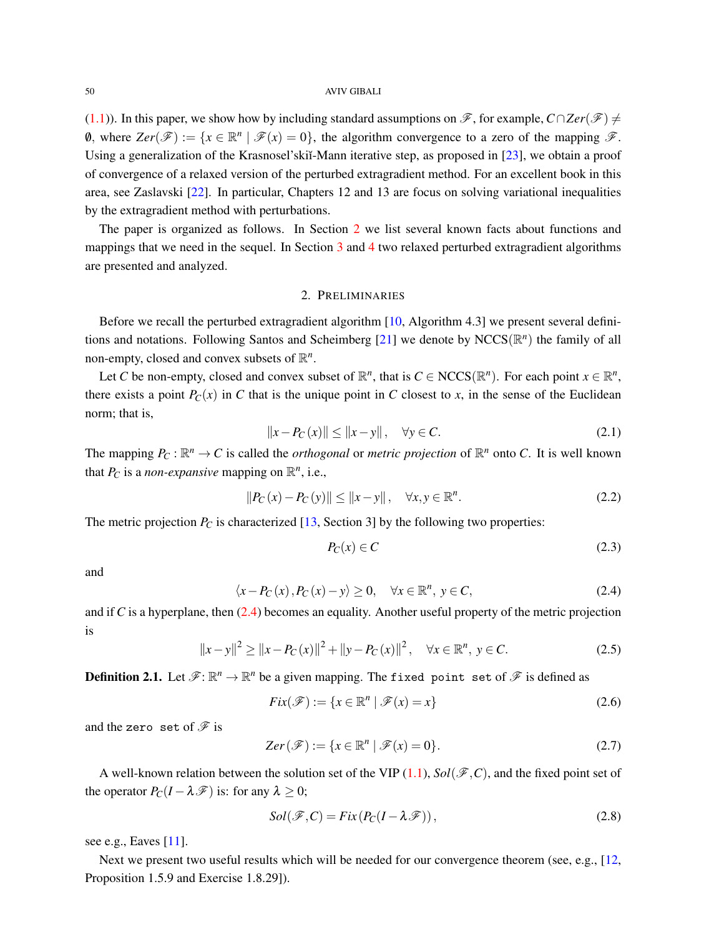#### 50 AVIV GIBALI

[\(1.1\)](#page-0-0)). In this paper, we show how by including standard assumptions on  $\mathscr{F}$ , for example,  $C \cap Zer(\mathscr{F}) \neq$ 0, where  $Zer(\mathscr{F}) := \{x \in \mathbb{R}^n \mid \mathscr{F}(x) = 0\}$ , the algorithm convergence to a zero of the mapping  $\mathscr{F}$ . Using a generalization of the Krasnosel'skiĭ-Mann iterative step, as proposed in [\[23\]](#page-12-4), we obtain a proof of convergence of a relaxed version of the perturbed extragradient method. For an excellent book in this area, see Zaslavski [\[22\]](#page-12-5). In particular, Chapters 12 and 13 are focus on solving variational inequalities by the extragradient method with perturbations.

The paper is organized as follows. In Section [2](#page-1-0) we list several known facts about functions and mappings that we need in the sequel. In Section [3](#page-6-0) and [4](#page-9-0) two relaxed perturbed extragradient algorithms are presented and analyzed.

### 2. PRELIMINARIES

<span id="page-1-0"></span>Before we recall the perturbed extragradient algorithm  $[10,$  Algorithm 4.3] we present several defini-tions and notations. Following Santos and Scheimberg [\[21\]](#page-12-6) we denote by NCCS( $\mathbb{R}^n$ ) the family of all non-empty, closed and convex subsets of  $\mathbb{R}^n$ .

Let *C* be non-empty, closed and convex subset of  $\mathbb{R}^n$ , that is  $C \in \text{NCCS}(\mathbb{R}^n)$ . For each point  $x \in \mathbb{R}^n$ , there exists a point  $P_C(x)$  in C that is the unique point in C closest to x, in the sense of the Euclidean norm; that is,

$$
||x - P_C(x)|| \le ||x - y||, \quad \forall y \in C.
$$
 (2.1)

The mapping  $P_C : \mathbb{R}^n \to C$  is called the *orthogonal* or *metric projection* of  $\mathbb{R}^n$  onto *C*. It is well known that  $P_C$  is a *non-expansive* mapping on  $\mathbb{R}^n$ , i.e.,

$$
||P_C(x) - P_C(y)|| \le ||x - y||, \quad \forall x, y \in \mathbb{R}^n.
$$
 (2.2)

The metric projection  $P_C$  is characterized [\[13,](#page-12-7) Section 3] by the following two properties:

$$
P_C(x) \in C \tag{2.3}
$$

and

<span id="page-1-1"></span>
$$
\langle x - P_C(x), P_C(x) - y \rangle \ge 0, \quad \forall x \in \mathbb{R}^n, y \in C,
$$
\n(2.4)

and if *C* is a hyperplane, then  $(2.4)$  becomes an equality. Another useful property of the metric projection is

<span id="page-1-3"></span>
$$
||x - y||^{2} \ge ||x - P_{C}(x)||^{2} + ||y - P_{C}(x)||^{2}, \quad \forall x \in \mathbb{R}^{n}, y \in C.
$$
 (2.5)

**Definition 2.1.** Let  $\mathscr{F} : \mathbb{R}^n \to \mathbb{R}^n$  be a given mapping. The fixed point set of  $\mathscr{F}$  is defined as

$$
Fix(\mathscr{F}) := \{ x \in \mathbb{R}^n \mid \mathscr{F}(x) = x \}
$$
\n(2.6)

and the zero set of  $\mathscr F$  is

$$
Zer(\mathcal{F}) := \{x \in \mathbb{R}^n \mid \mathcal{F}(x) = 0\}.
$$
 (2.7)

A well-known relation between the solution set of the VIP  $(1.1)$ ,  $Sol(\mathscr{F}, C)$ , and the fixed point set of the operator  $P_C(I - \lambda \mathcal{F})$  is: for any  $\lambda \geq 0$ ;

<span id="page-1-2"></span>
$$
Sol(\mathcal{F}, C) = Fix(P_C(I - \lambda \mathcal{F})),
$$
\n(2.8)

see e.g., Eaves [\[11\]](#page-12-8).

Next we present two useful results which will be needed for our convergence theorem (see, e.g., [\[12,](#page-12-2) Proposition 1.5.9 and Exercise 1.8.29]).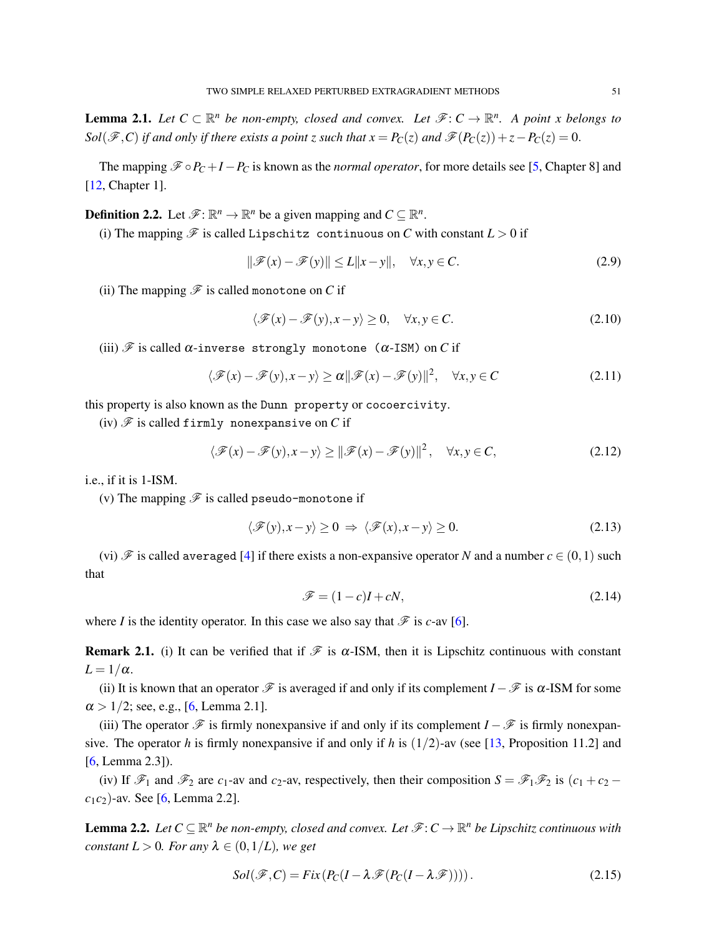**Lemma 2.1.** Let  $C \subset \mathbb{R}^n$  be non-empty, closed and convex. Let  $\mathscr{F}: C \to \mathbb{R}^n$ . A point x belongs to *Sol*( $\mathscr{F}, C$ ) *if and only if there exists a point z such that*  $x = P_C(z)$  *and*  $\mathscr{F}(P_C(z)) + z - P_C(z) = 0$ *.* 

The mapping  $\mathcal{F} \circ P_C + I - P_C$  is known as the *normal operator*, for more details see [\[5,](#page-12-9) Chapter 8] and [\[12,](#page-12-2) Chapter 1].

**Definition 2.2.** Let  $\mathcal{F}: \mathbb{R}^n \to \mathbb{R}^n$  be a given mapping and  $C \subseteq \mathbb{R}^n$ .

(i) The mapping  $\mathscr F$  is called Lipschitz continuous on *C* with constant  $L > 0$  if

$$
\|\mathcal{F}(x) - \mathcal{F}(y)\| \le L\|x - y\|, \quad \forall x, y \in C. \tag{2.9}
$$

(ii) The mapping  $\mathscr F$  is called monotone on *C* if

$$
\langle \mathcal{F}(x) - \mathcal{F}(y), x - y \rangle \ge 0, \quad \forall x, y \in C.
$$
 (2.10)

(iii)  $\mathscr F$  is called  $\alpha$ -inverse strongly monotone ( $\alpha$ -ISM) on *C* if

$$
\langle \mathcal{F}(x) - \mathcal{F}(y), x - y \rangle \ge \alpha ||\mathcal{F}(x) - \mathcal{F}(y)||^2, \quad \forall x, y \in C
$$
 (2.11)

this property is also known as the Dunn property or cocoercivity.

(iv)  $\mathscr F$  is called firmly nonexpansive on  $C$  if

$$
\langle \mathcal{F}(x) - \mathcal{F}(y), x - y \rangle \ge ||\mathcal{F}(x) - \mathcal{F}(y)||^2, \quad \forall x, y \in C,
$$
\n(2.12)

i.e., if it is 1-ISM.

(v) The mapping  $\mathscr F$  is called pseudo-monotone if

$$
\langle \mathcal{F}(y), x - y \rangle \ge 0 \implies \langle \mathcal{F}(x), x - y \rangle \ge 0. \tag{2.13}
$$

(vi)  $\mathscr F$  is called averaged [\[4\]](#page-12-10) if there exists a non-expansive operator *N* and a number  $c \in (0,1)$  such that

$$
\mathcal{F} = (1 - c)I + cN,\tag{2.14}
$$

where *I* is the identity operator. In this case we also say that  $\mathcal{F}$  is *c*-av [\[6\]](#page-12-11).

Remark 2.1. (i) It can be verified that if  $\mathcal F$  is  $\alpha$ -ISM, then it is Lipschitz continuous with constant  $L = 1/\alpha$ .

(ii) It is known that an operator  $\mathscr F$  is averaged if and only if its complement *I* −  $\mathscr F$  is  $\alpha$ -ISM for some  $\alpha > 1/2$ ; see, e.g., [\[6,](#page-12-11) Lemma 2.1].

(iii) The operator  $\mathcal F$  is firmly nonexpansive if and only if its complement *I* −  $\mathcal F$  is firmly nonexpansive. The operator *h* is firmly nonexpansive if and only if *h* is (1/2)-av (see [\[13,](#page-12-7) Proposition 11.2] and [\[6,](#page-12-11) Lemma 2.3]).

(iv) If  $\mathscr{F}_1$  and  $\mathscr{F}_2$  are  $c_1$ -av and  $c_2$ -av, respectively, then their composition  $S = \mathscr{F}_1 \mathscr{F}_2$  is  $(c_1 + c_2 - c_1)$ *c*1*c*2)-av. See [\[6,](#page-12-11) Lemma 2.2].

**Lemma 2.2.** Let  $C \subseteq \mathbb{R}^n$  be non-empty, closed and convex. Let  $\mathscr{F}: C \to \mathbb{R}^n$  be Lipschitz continuous with *constant*  $L > 0$ *. For any*  $\lambda \in (0, 1/L)$ *, we get* 

<span id="page-2-0"></span>
$$
Sol(\mathcal{F}, C) = Fix(P_C(I - \lambda \mathcal{F}(P_C(I - \lambda \mathcal{F}))))\,. \tag{2.15}
$$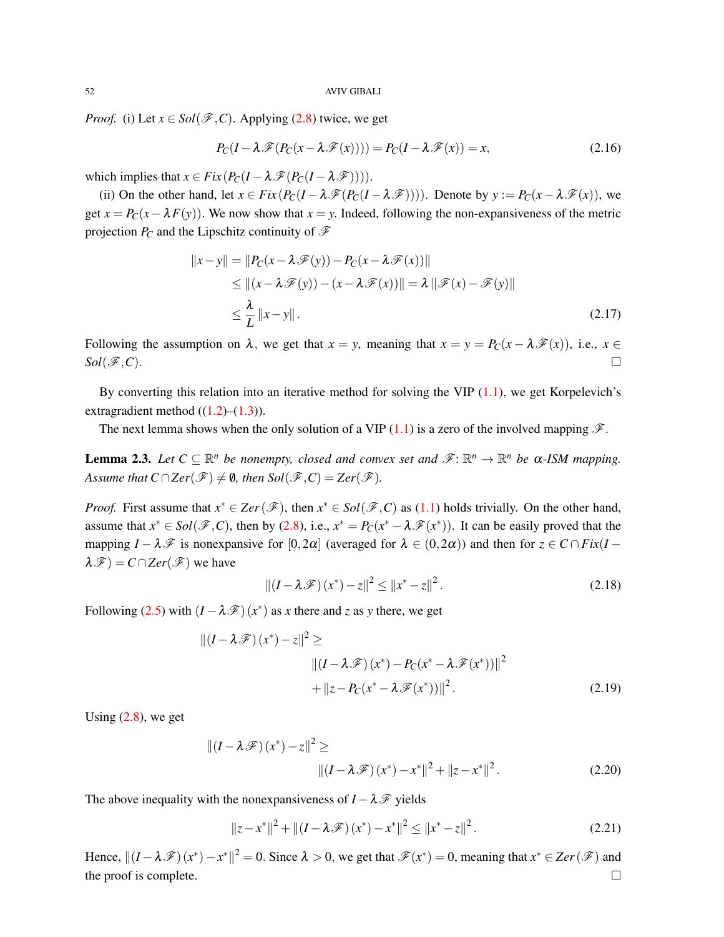*Proof.* (i) Let  $x \in Sol(\mathcal{F}, C)$ . Applying [\(2.8\)](#page-1-2) twice, we get

$$
P_C(I - \lambda \mathscr{F}(P_C(x - \lambda \mathscr{F}(x)))) = P_C(I - \lambda \mathscr{F}(x)) = x,
$$
\n(2.16)

which implies that  $x \in Fix(P_C(I - \lambda \mathcal{F}(P_C(I - \lambda \mathcal{F}))))$ .

(ii) On the other hand, let  $x \in Fix(P_C(I - \lambda \mathcal{F}(P_C(I - \lambda \mathcal{F}))))$ . Denote by  $y := P_C(x - \lambda \mathcal{F}(x))$ , we get  $x = P_C(x - \lambda F(y))$ . We now show that  $x = y$ . Indeed, following the non-expansiveness of the metric projection  $P_C$  and the Lipschitz continuity of  $\mathcal F$ 

$$
||x - y|| = ||P_C(x - \lambda \mathcal{F}(y)) - P_C(x - \lambda \mathcal{F}(x))||
$$
  
\n
$$
\leq ||(x - \lambda \mathcal{F}(y)) - (x - \lambda \mathcal{F}(x))|| = \lambda ||\mathcal{F}(x) - \mathcal{F}(y)||
$$
  
\n
$$
\leq \frac{\lambda}{L} ||x - y||.
$$
\n(2.17)

Following the assumption on  $\lambda$ , we get that  $x = y$ , meaning that  $x = y = P_C(x - \lambda \mathcal{F}(x))$ , i.e.,  $x \in$  $Sol(\mathscr{F},\mathcal{C}).$ 

By converting this relation into an iterative method for solving the VIP  $(1.1)$ , we get Korpelevich's extragradient method  $((1.2)–(1.3))$  $((1.2)–(1.3))$  $((1.2)–(1.3))$  $((1.2)–(1.3))$  $((1.2)–(1.3))$ .

The next lemma shows when the only solution of a VIP [\(1.1\)](#page-0-0) is a zero of the involved mapping  $\mathscr{F}$ .

**Lemma 2.3.** Let  $C \subseteq \mathbb{R}^n$  be nonempty, closed and convex set and  $\mathscr{F} \colon \mathbb{R}^n \to \mathbb{R}^n$  be  $\alpha$ -ISM mapping. *Assume that*  $C \cap \text{Zer}(\mathcal{F}) \neq \emptyset$ , then  $\text{Sol}(\mathcal{F}, C) = \text{Zer}(\mathcal{F})$ *.* 

*Proof.* First assume that  $x^* \in \text{Zer}(\mathcal{F})$ , then  $x^* \in \text{Sol}(\mathcal{F}, C)$  as [\(1.1\)](#page-0-0) holds trivially. On the other hand, assume that  $x^* \in Sol(\mathcal{F}, C)$ , then by [\(2.8\)](#page-1-2), i.e.,  $x^* = P_C(x^* - \lambda \mathcal{F}(x^*))$ . It can be easily proved that the mapping  $I - \lambda \mathcal{F}$  is nonexpansive for  $[0,2\alpha]$  (averaged for  $\lambda \in (0,2\alpha)$ ) and then for  $z \in C \cap Fix(I - \alpha)$  $\lambda \mathscr{F}$ ) = *C*∩*Zer*( $\mathscr{F}$ ) we have

$$
\|(I - \lambda \mathscr{F})(x^*) - z\|^2 \le \|x^* - z\|^2. \tag{2.18}
$$

Following [\(2.5\)](#page-1-3) with  $(I - \lambda \mathcal{F})(x^*)$  as *x* there and *z* as *y* there, we get

$$
||(I - \lambda \mathscr{F})(x^*) - z||^2 \ge ||(I - \lambda \mathscr{F})(x^*) - P_C(x^* - \lambda \mathscr{F}(x^*))||^2
$$
  
+ 
$$
||z - P_C(x^* - \lambda \mathscr{F}(x^*))||^2.
$$
 (2.19)

Using  $(2.8)$ , we get

$$
\left\| \left(I - \lambda \mathscr{F}\right)\left(x^*\right) - z \right\|^2 \ge \q\n\left\| \left(I - \lambda \mathscr{F}\right)\left(x^*\right) - x^*\right\|^2 + \left\| z - x^*\right\|^2. \tag{2.20}
$$

The above inequality with the nonexpansiveness of  $I - \lambda \mathcal{F}$  yields

$$
||z - x^*||^2 + ||(I - \lambda \mathcal{F})(x^*) - x^*||^2 \le ||x^* - z||^2.
$$
 (2.21)

Hence,  $||(I - \lambda \mathscr{F})(x^*) - x^*||^2 = 0$ . Since  $\lambda > 0$ , we get that  $\mathscr{F}(x^*) = 0$ , meaning that  $x^* \in \mathbb{Z}$ er $(\mathscr{F})$  and the proof is complete.  $\Box$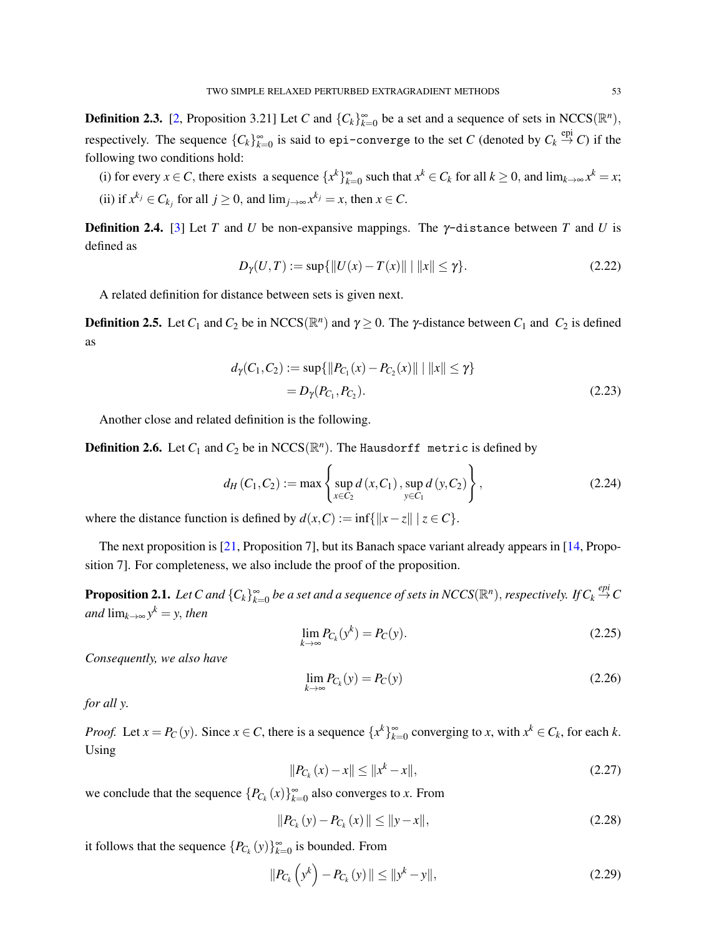**Definition 2.3.** [\[2,](#page-12-12) Proposition 3.21] Let *C* and  $\{C_k\}_{k=0}^{\infty}$  be a set and a sequence of sets in NCCS( $\mathbb{R}^n$ ), respectively. The sequence  ${C_k}_{k=0}^{\infty}$  is said to epi-converge to the set *C* (denoted by  $C_k \stackrel{epi}{\rightarrow} C$ ) if the following two conditions hold:

(i) for every  $x \in C$ , there exists a sequence  $\{x^k\}_{k=0}^{\infty}$  such that  $x^k \in C_k$  for all  $k \ge 0$ , and  $\lim_{k \to \infty} x^k = x$ ; (ii) if  $x^{k_j} \in C_{k_j}$  for all  $j \ge 0$ , and  $\lim_{j \to \infty} x^{k_j} = x$ , then  $x \in C$ .

**Definition 2.4.** [\[3\]](#page-12-13) Let *T* and *U* be non-expansive mappings. The  $\gamma$ -distance between *T* and *U* is defined as

$$
D_{\gamma}(U,T) := \sup\{\|U(x) - T(x)\| \mid \|x\| \le \gamma\}.
$$
 (2.22)

A related definition for distance between sets is given next.

**Definition 2.5.** Let  $C_1$  and  $C_2$  be in NCCS( $\mathbb{R}^n$ ) and  $\gamma \ge 0$ . The  $\gamma$ -distance between  $C_1$  and  $C_2$  is defined as

$$
d_{\gamma}(C_1, C_2) := \sup \{ ||P_{C_1}(x) - P_{C_2}(x)|| \mid ||x|| \leq \gamma \}
$$
  
=  $D_{\gamma}(P_{C_1}, P_{C_2}).$  (2.23)

Another close and related definition is the following.

**Definition 2.6.** Let  $C_1$  and  $C_2$  be in  $\mathsf{NCCS}(\mathbb{R}^n)$ . The Hausdorff metric is defined by

$$
d_H(C_1, C_2) := \max \left\{ \sup_{x \in C_2} d(x, C_1), \sup_{y \in C_1} d(y, C_2) \right\},
$$
 (2.24)

where the distance function is defined by  $d(x, C) := \inf\{\|x - z\| \mid z \in C\}.$ 

The next proposition is [\[21,](#page-12-6) Proposition 7], but its Banach space variant already appears in [\[14,](#page-12-14) Proposition 7]. For completeness, we also include the proof of the proposition.

<span id="page-4-0"></span>**Proposition 2.1.** Let C and  $\{C_k\}_{k=0}^\infty$  be a set and a sequence of sets in NCCS( $\mathbb{R}^n$ ), respectively. If  $C_k \stackrel{epi}{\to} C$  $and$   $\lim_{k\to\infty} y^k = y$ , *then* 

$$
\lim_{k \to \infty} P_{C_k}(y^k) = P_C(y). \tag{2.25}
$$

*Consequently, we also have*

$$
\lim_{k \to \infty} P_{C_k}(y) = P_C(y) \tag{2.26}
$$

*for all y.*

*Proof.* Let  $x = P_C(y)$ . Since  $x \in C$ , there is a sequence  $\{x^k\}_{k=0}^{\infty}$  converging to *x*, with  $x^k \in C_k$ , for each *k*. Using

$$
||P_{C_k}(x) - x|| \le ||x^k - x||,
$$
\n(2.27)

we conclude that the sequence  ${P_{C_k}(x)}_{k=0}^{\infty}$  also converges to *x*. From

$$
||P_{C_k}(y) - P_{C_k}(x)|| \le ||y - x||,\tag{2.28}
$$

it follows that the sequence  $\{P_{C_k}(y)\}_{k=0}^{\infty}$  is bounded. From

$$
||P_{C_k}\left(y^k\right) - P_{C_k}\left(y\right)|| \le ||y^k - y||,\tag{2.29}
$$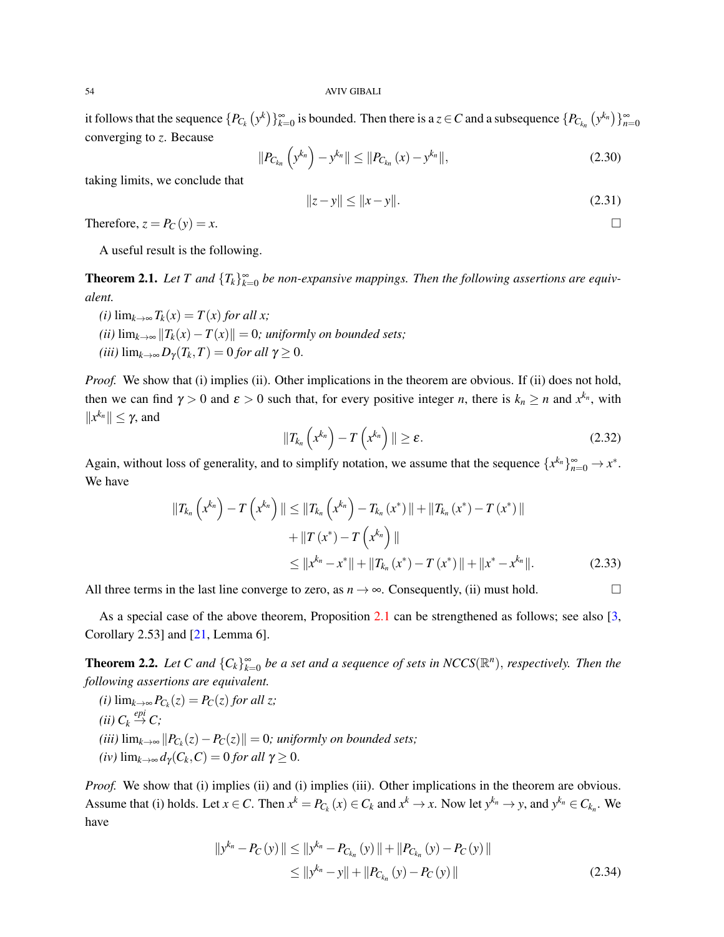it follows that the sequence  $\{P_{C_k}(y^k)\}_{k=0}^{\infty}$  is bounded. Then there is a  $z \in C$  and a subsequence  $\{P_{C_{k_n}}(y^{k_n})\}_{n=0}^{\infty}$ converging to *z*. Because

$$
||P_{C_{k_n}}\left(y^{k_n}\right)-y^{k_n}|| \leq ||P_{C_{k_n}}(x)-y^{k_n}||,
$$
\n(2.30)

taking limits, we conclude that

$$
||z - y|| \le ||x - y||. \tag{2.31}
$$

Therefore,  $z = P_C(y) = x$ .

A useful result is the following.

**Theorem 2.1.** Let T and  ${T_k}_{k=0}^{\infty}$  be non-expansive mappings. Then the following assertions are equiv*alent.*

*(i)* lim<sub>*k*→∞</sub>  $T_k(x) = T(x)$  *for all x*; *(ii)*  $\lim_{k\to\infty}$  || $T_k(x) - T(x)$ || = 0*;* uniformly on bounded sets;  $(iii)$  lim<sub> $k\rightarrow\infty$ </sub>  $D_{\gamma}(T_k,T) = 0$  *for all*  $\gamma \geq 0$ .

*Proof.* We show that (i) implies (ii). Other implications in the theorem are obvious. If (ii) does not hold, then we can find  $\gamma > 0$  and  $\varepsilon > 0$  such that, for every positive integer *n*, there is  $k_n \ge n$  and  $x^{k_n}$ , with  $||x^{k_n}|| \leq \gamma$ , and

$$
||T_{k_n}\left(x^{k_n}\right)-T\left(x^{k_n}\right)||\geq \varepsilon.\tag{2.32}
$$

Again, without loss of generality, and to simplify notation, we assume that the sequence  $\{x^{k_n}\}_{n=0}^{\infty} \to x^*$ . We have

$$
||T_{k_n}\left(x^{k_n}\right) - T\left(x^{k_n}\right)|| \le ||T_{k_n}\left(x^{k_n}\right) - T_{k_n}\left(x^*\right)|| + ||T_{k_n}\left(x^*\right) - T\left(x^*\right)||
$$
  
+ 
$$
||T\left(x^*\right) - T\left(x^{k_n}\right)||
$$
  
\$\le ||x^{k\_n} - x^\*|| + ||T\_{k\_n}\left(x^\*\right) - T\left(x^\*\right)|| + ||x^\* - x^{k\_n}||. \qquad (2.33)

All three terms in the last line converge to zero, as  $n \to \infty$ . Consequently, (ii) must hold.

As a special case of the above theorem, Proposition [2.1](#page-4-0) can be strengthened as follows; see also [\[3,](#page-12-13) Corollary 2.53] and [\[21,](#page-12-6) Lemma 6].

**Theorem 2.2.** Let C and  ${C_k}_{k=0}^{\infty}$  be a set and a sequence of sets in NCCS( $\mathbb{R}^n$ ), respectively. Then the *following assertions are equivalent.*

 $P_{C_k}(z) = P_C(z)$  *for all z; (ii)*  $C_k \stackrel{epi}{\rightarrow} C$ ;  $(iii)$   $\lim_{k\to\infty}$   $||P_{C_k}(z) - P_C(z)|| = 0$ ; *uniformly on bounded sets*;  $(iv)$  lim<sub> $k\rightarrow\infty$ </sub>  $d_{\gamma}(C_k, C) = 0$  *for all*  $\gamma \geq 0$ .

*Proof.* We show that (i) implies (ii) and (i) implies (iii). Other implications in the theorem are obvious. Assume that (i) holds. Let  $x \in C$ . Then  $x^k = P_{C_k}(x) \in C_k$  and  $x^k \to x$ . Now let  $y^{k_n} \to y$ , and  $y^{k_n} \in C_{k_n}$ . We have

$$
||y^{k_n} - P_C(y)|| \le ||y^{k_n} - P_{C_{k_n}}(y)|| + ||P_{C_{k_n}}(y) - P_C(y)||
$$
  
\n
$$
\le ||y^{k_n} - y|| + ||P_{C_{k_n}}(y) - P_C(y)||
$$
\n(2.34)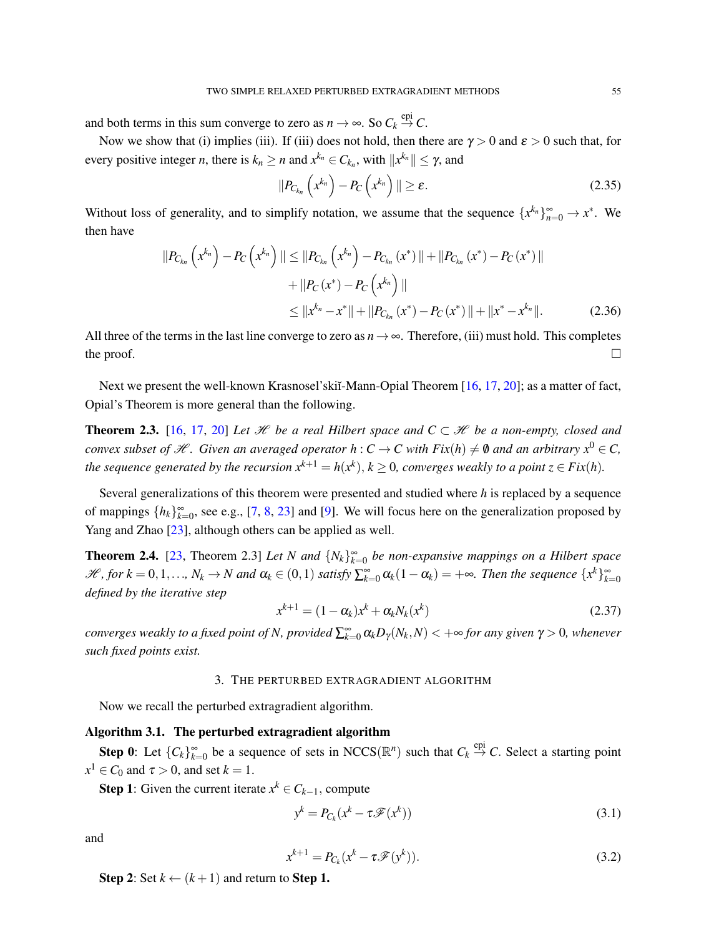and both terms in this sum converge to zero as  $n \to \infty$ . So  $C_k \stackrel{\text{epi}}{\to} C$ .

Now we show that (i) implies (iii). If (iii) does not hold, then there are  $\gamma > 0$  and  $\varepsilon > 0$  such that, for every positive integer *n*, there is  $k_n \ge n$  and  $x^{k_n} \in C_{k_n}$ , with  $||x^{k_n}|| \le \gamma$ , and

$$
||P_{C_{k_n}}\left(x^{k_n}\right)-P_C\left(x^{k_n}\right)||\geq \varepsilon.
$$
\n(2.35)

Without loss of generality, and to simplify notation, we assume that the sequence  $\{x^{k_n}\}_{n=0}^{\infty} \to x^*$ . We then have

$$
||P_{C_{k_n}}(x^{k_n}) - P_C(x^{k_n})|| \le ||P_{C_{k_n}}(x^{k_n}) - P_{C_{k_n}}(x^*)|| + ||P_{C_{k_n}}(x^*) - P_C(x^*)||
$$
  
+ 
$$
||P_C(x^*) - P_C(x^{k_n})||
$$
  

$$
\le ||x^{k_n} - x^*|| + ||P_{C_{k_n}}(x^*) - P_C(x^*)|| + ||x^* - x^{k_n}||. \tag{2.36}
$$

All three of the terms in the last line converge to zero as  $n \to \infty$ . Therefore, (iii) must hold. This completes the proof.  $\Box$ 

Next we present the well-known Krasnosel'skiĭ-Mann-Opial Theorem [\[16,](#page-12-15) [17,](#page-12-16) [20\]](#page-12-17); as a matter of fact, Opial's Theorem is more general than the following.

**Theorem 2.3.** [\[16,](#page-12-15) [17,](#page-12-16) [20\]](#page-12-17) Let  $\mathcal{H}$  be a real Hilbert space and  $C \subset \mathcal{H}$  be a non-empty, closed and *convex subset of H.* Given an averaged operator  $h: C \to C$  with  $Fix(h) \neq \emptyset$  and an arbitrary  $x^0 \in C$ , *the sequence generated by the recursion*  $x^{k+1} = h(x^k)$ ,  $k \ge 0$ , converges weakly to a point  $z \in Fix(h)$ .

Several generalizations of this theorem were presented and studied where *h* is replaced by a sequence of mappings  $\{h_k\}_{k=0}^{\infty}$ , see e.g., [\[7,](#page-12-18) [8,](#page-12-19) [23\]](#page-12-4) and [\[9\]](#page-12-20). We will focus here on the generalization proposed by Yang and Zhao [\[23\]](#page-12-4), although others can be applied as well.

<span id="page-6-2"></span>**Theorem 2.4.** [\[23,](#page-12-4) Theorem 2.3] *Let N and*  ${N_k}_{k=0}^{\infty}$  *be non-expansive mappings on a Hilbert space*  $\mathscr{H}$ , for  $k = 0, 1, ..., N_k \to N$  and  $\alpha_k \in (0, 1)$  satisfy  $\sum_{k=0}^{\infty} \alpha_k (1 - \alpha_k) = +\infty$ . Then the sequence  $\{x^k\}_{k=0}^{\infty}$ *defined by the iterative step*

$$
x^{k+1} = (1 - \alpha_k)x^k + \alpha_k N_k(x^k)
$$
\n
$$
(2.37)
$$

 $converges$  weakly to a fixed point of N, provided  $\sum_{k=0}^{\infty}\alpha_kD_{\gamma}(N_k,N)<+\infty$  for any given  $\gamma>0$ , whenever *such fixed points exist.*

### 3. THE PERTURBED EXTRAGRADIENT ALGORITHM

<span id="page-6-0"></span>Now we recall the perturbed extragradient algorithm.

### <span id="page-6-1"></span>Algorithm 3.1. The perturbed extragradient algorithm

Step 0: Let  ${C_k}_{k=0}^{\infty}$  be a sequence of sets in NCCS( $\mathbb{R}^n$ ) such that  $C_k \stackrel{\text{epi}}{\rightarrow} C$ . Select a starting point  $x^1 \in C_0$  and  $\tau > 0$ , and set  $k = 1$ .

**Step 1**: Given the current iterate  $x^k \in C_{k-1}$ , compute

$$
y^k = P_{C_k}(x^k - \tau \mathcal{F}(x^k))
$$
\n(3.1)

and

$$
x^{k+1} = P_{C_k}(x^k - \tau \mathcal{F}(y^k)).
$$
\n(3.2)

**Step 2:** Set  $k \leftarrow (k+1)$  and return to **Step 1.**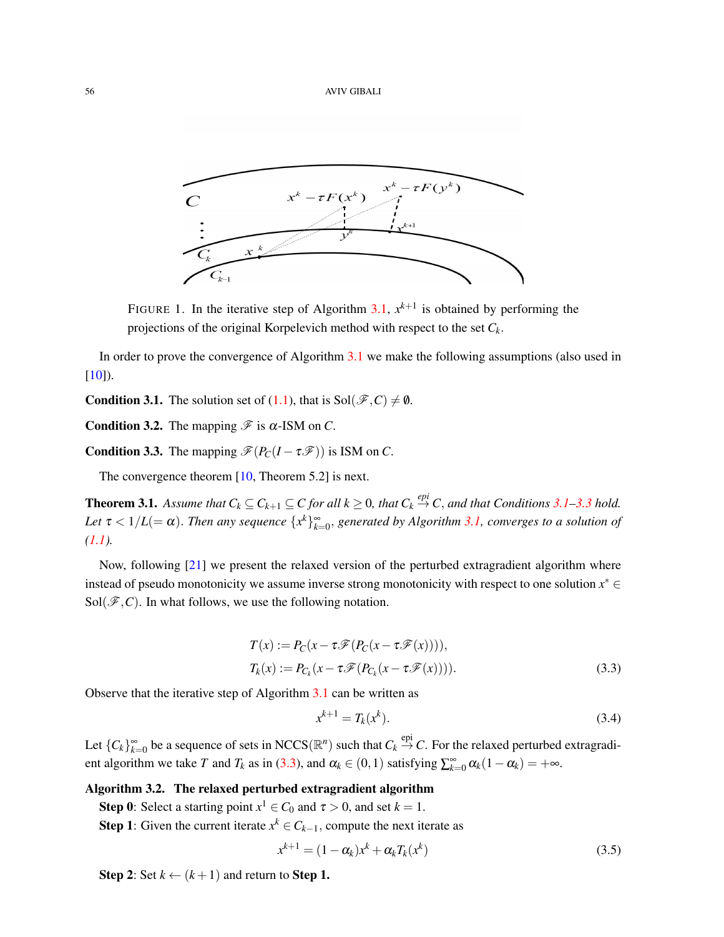

FIGURE 1. In the iterative step of Algorithm [3.1,](#page-6-1)  $x^{k+1}$  is obtained by performing the projections of the original Korpelevich method with respect to the set *Ck*.

In order to prove the convergence of Algorithm [3.1](#page-6-1) we make the following assumptions (also used in  $[10]$ ).

<span id="page-7-0"></span>**Condition 3.1.** The solution set of [\(1.1\)](#page-0-0), that is  $Sol(\mathcal{F}, C) \neq \emptyset$ .

<span id="page-7-4"></span>**Condition 3.2.** The mapping  $\mathcal{F}$  is  $\alpha$ -ISM on *C*.

<span id="page-7-1"></span>**Condition 3.3.** The mapping  $\mathcal{F}(P_C(I - \tau \mathcal{F}))$  is ISM on *C*.

The convergence theorem [\[10,](#page-12-3) Theorem 5.2] is next.

**Theorem 3.1.** Assume that  $C_k \subseteq C_{k+1} \subseteq C$  for all  $k \ge 0$ , that  $C_k \stackrel{epi}{\rightarrow} C$ , and that Conditions [3.1–](#page-7-0)[3.3](#page-7-1) hold. Let  $\tau$  <  $1/L (= \alpha)$ . Then any sequence  $\{x^k\}_{k=0}^{\infty}$ , generated by Algorithm [3.1,](#page-6-1) converges to a solution of *[\(1.1\)](#page-0-0).*

Now, following [\[21\]](#page-12-6) we present the relaxed version of the perturbed extragradient algorithm where instead of pseudo monotonicity we assume inverse strong monotonicity with respect to one solution  $x^* \in$  $Sol(\mathscr{F}, C)$ . In what follows, we use the following notation.

$$
T(x) := P_C(x - \tau \mathcal{F}(P_C(x - \tau \mathcal{F}(x))))
$$
\n
$$
T_k(x) := P_{C_k}(x - \tau \mathcal{F}(P_{C_k}(x - \tau \mathcal{F}(x))))
$$
\n(3.3)

Observe that the iterative step of Algorithm [3.1](#page-6-1) can be written as

<span id="page-7-2"></span>
$$
x^{k+1} = T_k(x^k). \tag{3.4}
$$

Let  ${C_k}_{k=0}^{\infty}$  be a sequence of sets in NCCS( $\mathbb{R}^n$ ) such that  $C_k \stackrel{\text{epi}}{\to} C$ . For the relaxed perturbed extragradient algorithm we take *T* and  $T_k$  as in [\(3.3\)](#page-7-2), and  $\alpha_k \in (0,1)$  satisfying  $\sum_{k=0}^{\infty} \alpha_k (1 - \alpha_k) = +\infty$ .

## <span id="page-7-3"></span>Algorithm 3.2. The relaxed perturbed extragradient algorithm

**Step 0**: Select a starting point  $x^1 \in C_0$  and  $\tau > 0$ , and set  $k = 1$ .

**Step 1:** Given the current iterate  $x^k \in C_{k-1}$ , compute the next iterate as

$$
x^{k+1} = (1 - \alpha_k)x^k + \alpha_k T_k(x^k)
$$
\n
$$
(3.5)
$$

**Step 2:** Set  $k \leftarrow (k+1)$  and return to **Step 1.**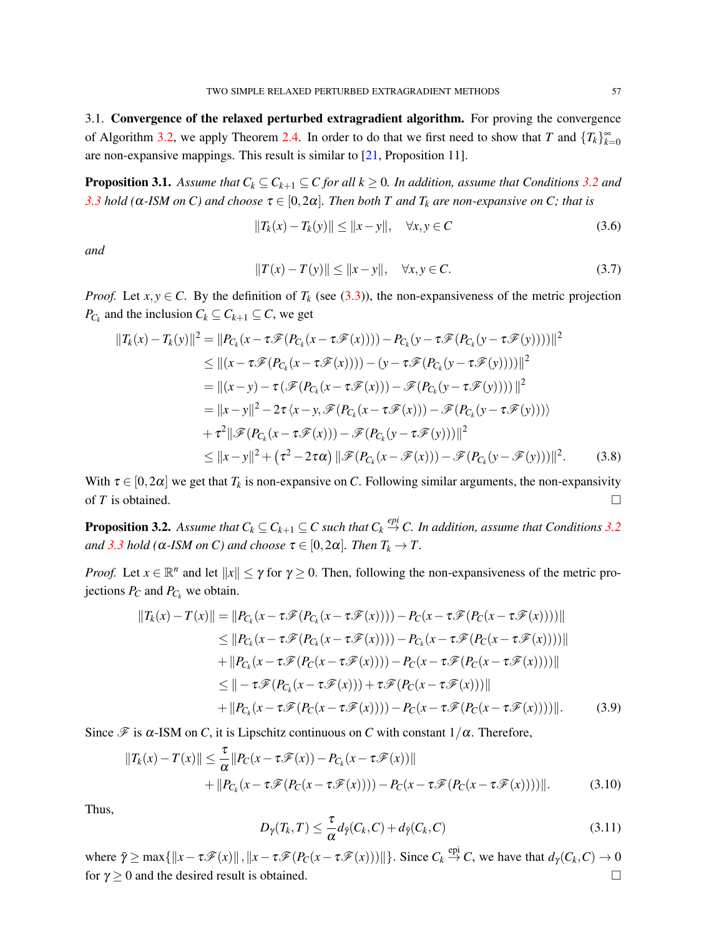3.1. Convergence of the relaxed perturbed extragradient algorithm. For proving the convergence of Algorithm [3.2,](#page-7-3) we apply Theorem [2.4.](#page-6-2) In order to do that we first need to show that *T* and  $\{T_k\}_{k=0}^{\infty}$ are non-expansive mappings. This result is similar to [\[21,](#page-12-6) Proposition 11].

<span id="page-8-0"></span>**Proposition 3.1.** Assume that  $C_k \subseteq C_{k+1} \subseteq C$  for all  $k \ge 0$ . In addition, assume that Conditions [3.2](#page-7-4) and *[3.3](#page-7-1) hold* ( $α$ -*ISM on C*) *and choose*  $τ ∈ [0, 2α]$ *. Then both T and T<sub>k</sub> are non-expansive on C; that is* 

$$
||T_k(x) - T_k(y)|| \le ||x - y||, \quad \forall x, y \in C
$$
\n(3.6)

*and*

$$
||T(x) - T(y)|| \le ||x - y||, \quad \forall x, y \in C.
$$
 (3.7)

*Proof.* Let  $x, y \in C$ . By the definition of  $T_k$  (see [\(3.3\)](#page-7-2)), the non-expansiveness of the metric projection *P*<sub>*C*<sup>*k*</sub></sup> and the inclusion  $C_k \subseteq C_{k+1} \subseteq C$ , we get</sub>

$$
||T_k(x) - T_k(y)||^2 = ||P_{C_k}(x - \tau \mathscr{F}(P_{C_k}(x - \tau \mathscr{F}(x)))) - P_{C_k}(y - \tau \mathscr{F}(P_{C_k}(y - \tau \mathscr{F}(y))))||^2
$$
  
\n
$$
\leq ||(x - \tau \mathscr{F}(P_{C_k}(x - \tau \mathscr{F}(x)))) - (y - \tau \mathscr{F}(P_{C_k}(y - \tau \mathscr{F}(y))))||^2
$$
  
\n
$$
= ||(x - y) - \tau (\mathscr{F}(P_{C_k}(x - \tau \mathscr{F}(x))) - \mathscr{F}(P_{C_k}(y - \tau \mathscr{F}(y))))||^2
$$
  
\n
$$
= ||x - y||^2 - 2\tau \langle x - y, \mathscr{F}(P_{C_k}(x - \tau \mathscr{F}(x))) - \mathscr{F}(P_{C_k}(y - \tau \mathscr{F}(y))))
$$
  
\n
$$
+ \tau^2 ||\mathscr{F}(P_{C_k}(x - \tau \mathscr{F}(x))) - \mathscr{F}(P_{C_k}(y - \tau \mathscr{F}(y)))||^2
$$
  
\n
$$
\leq ||x - y||^2 + (\tau^2 - 2\tau \alpha) ||\mathscr{F}(P_{C_k}(x - \mathscr{F}(x))) - \mathscr{F}(P_{C_k}(y - \mathscr{F}(y)))||^2.
$$
 (3.8)

With  $\tau \in [0,2\alpha]$  we get that  $T_k$  is non-expansive on *C*. Following similar arguments, the non-expansivity of *T* is obtained.

<span id="page-8-1"></span>**Proposition [3.2](#page-7-4).** Assume that  $C_k \subseteq C_{k+1} \subseteq C$  such that  $C_k \stackrel{epi}{\to} C$ . In addition, assume that Conditions 3.2 *and* [3.3](#page-7-1) *hold* ( $\alpha$ -*ISM on C*) *and choose*  $\tau \in [0, 2\alpha]$ *. Then*  $T_k \to T$ *.* 

*Proof.* Let  $x \in \mathbb{R}^n$  and let  $||x|| \le \gamma$  for  $\gamma \ge 0$ . Then, following the non-expansiveness of the metric projections  $P_C$  and  $P_{C_k}$  we obtain.

$$
||T_k(x) - T(x)|| = ||P_{C_k}(x - \tau \mathscr{F}(P_{C_k}(x - \tau \mathscr{F}(x)))) - P_C(x - \tau \mathscr{F}(P_C(x - \tau \mathscr{F}(x))))||
$$
  
\n
$$
\leq ||P_{C_k}(x - \tau \mathscr{F}(P_{C_k}(x - \tau \mathscr{F}(x)))) - P_{C_k}(x - \tau \mathscr{F}(P_C(x - \tau \mathscr{F}(x))))||
$$
  
\n
$$
+ ||P_{C_k}(x - \tau \mathscr{F}(P_C(x - \tau \mathscr{F}(x)))) - P_C(x - \tau \mathscr{F}(P_C(x - \tau \mathscr{F}(x))))||
$$
  
\n
$$
\leq ||-\tau \mathscr{F}(P_{C_k}(x - \tau \mathscr{F}(x))) + \tau \mathscr{F}(P_C(x - \tau \mathscr{F}(x))))||
$$
  
\n
$$
+ ||P_{C_k}(x - \tau \mathscr{F}(P_C(x - \tau \mathscr{F}(x)))) - P_C(x - \tau \mathscr{F}(P_C(x - \tau \mathscr{F}(x))))||.
$$
 (3.9)

Since  $\mathscr F$  is  $\alpha$ -ISM on *C*, it is Lipschitz continuous on *C* with constant  $1/\alpha$ . Therefore,

$$
||T_k(x) - T(x)|| \leq \frac{\tau}{\alpha} ||P_C(x - \tau \mathcal{F}(x)) - P_{C_k}(x - \tau \mathcal{F}(x))||
$$
  
+ 
$$
||P_{C_k}(x - \tau \mathcal{F}(P_C(x - \tau \mathcal{F}(x)))) - P_C(x - \tau \mathcal{F}(P_C(x - \tau \mathcal{F}(x))))||.
$$
 (3.10)

Thus,

<span id="page-8-2"></span>
$$
D_{\gamma}(T_k, T) \leq \frac{\tau}{\alpha} d_{\bar{\gamma}}(C_k, C) + d_{\bar{\gamma}}(C_k, C)
$$
\n(3.11)

where  $\bar{\gamma} \ge \max\{\Vert x - \tau \mathcal{F}(x) \Vert, \Vert x - \tau \mathcal{F}(P_C(x - \tau \mathcal{F}(x))) \Vert\}$ . Since  $C_k \stackrel{\text{epi}}{\rightarrow} C$ , we have that  $d_{\gamma}(C_k, C) \rightarrow 0$ for  $\gamma \ge 0$  and the desired result is obtained.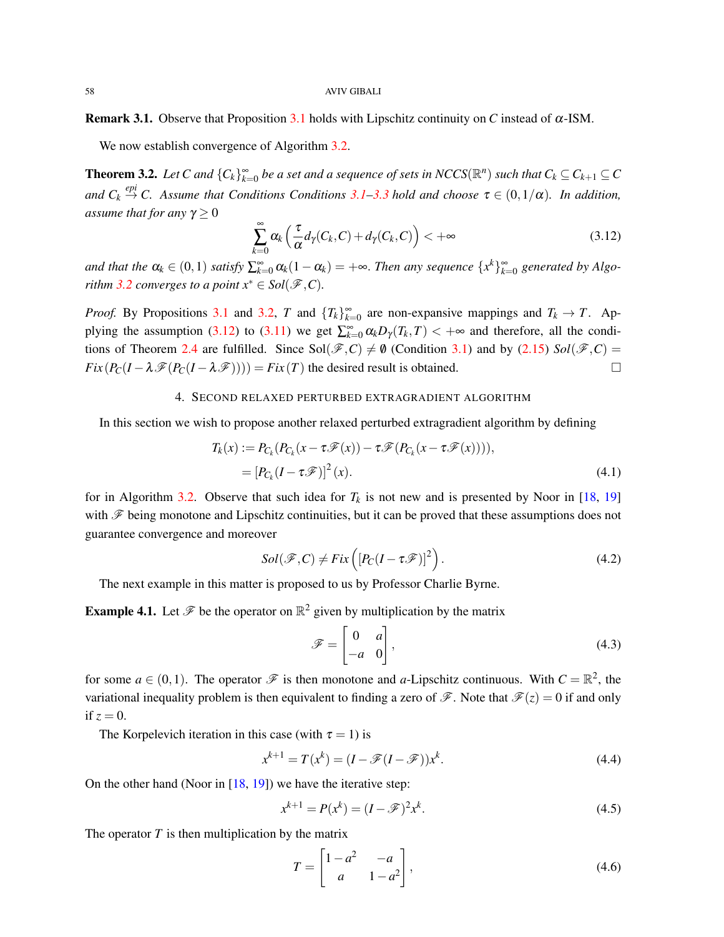#### 58 AVIV GIBALI

Remark 3.1. Observe that Proposition [3.1](#page-8-0) holds with Lipschitz continuity on *C* instead of α-ISM.

We now establish convergence of Algorithm [3.2.](#page-7-3)

**Theorem 3.2.** Let C and  ${C_k}_{k=0}^{\infty}$  be a set and a sequence of sets in NCCS( $\mathbb{R}^n$ ) such that  $C_k \subseteq C_{k+1} \subseteq C$ and  $C_k \stackrel{epi}{\rightarrow} C$ . Assume that Conditions Conditions [3.1–](#page-7-0)[3.3](#page-7-1) hold and choose  $\tau \in (0,1/\alpha)$ . In addition, *assume that for any*  $\gamma \geq 0$ 

<span id="page-9-1"></span>
$$
\sum_{k=0}^{\infty} \alpha_k \left( \frac{\tau}{\alpha} d_{\gamma}(C_k, C) + d_{\gamma}(C_k, C) \right) < +\infty \tag{3.12}
$$

*and that the*  $\alpha_k \in (0,1)$  *satisfy*  $\sum_{k=0}^{\infty} \alpha_k (1-\alpha_k) = +\infty$ . Then any sequence  $\{x^k\}_{k=0}^{\infty}$  generated by Algo*rithm* [3.2](#page-7-3) *converges to a point*  $x^* \in Sol(\mathcal{F}, C)$ *.* 

*Proof.* By Propositions [3.1](#page-8-0) and [3.2,](#page-8-1) *T* and  $\{T_k\}_{k=0}^{\infty}$  are non-expansive mappings and  $T_k \to T$ . Ap-plying the assumption [\(3.12\)](#page-9-1) to [\(3.11\)](#page-8-2) we get  $\sum_{k=0}^{\infty} \alpha_k D_\gamma(T_k, T) < +\infty$  and therefore, all the condi-tions of Theorem [2.4](#page-6-2) are fulfilled. Since  $Sol(\mathscr{F}, C) \neq \emptyset$  (Condition [3.1\)](#page-7-0) and by [\(2.15\)](#page-2-0)  $Sol(\mathscr{F}, C) =$  $Fix(P_C(I - \lambda \mathscr{F}(P_C(I - \lambda \mathscr{F}))) = Fix(T)$  the desired result is obtained.

# 4. SECOND RELAXED PERTURBED EXTRAGRADIENT ALGORITHM

<span id="page-9-0"></span>In this section we wish to propose another relaxed perturbed extragradient algorithm by defining

$$
T_k(x) := P_{C_k}(P_{C_k}(x - \tau \mathscr{F}(x)) - \tau \mathscr{F}(P_{C_k}(x - \tau \mathscr{F}(x))))
$$
\n
$$
= [P_{C_k}(I - \tau \mathscr{F})]^2(x).
$$
\n(4.1)

for in Algorithm [3.2.](#page-7-3) Observe that such idea for  $T_k$  is not new and is presented by Noor in [\[18,](#page-12-21) [19\]](#page-12-22) with  $\mathscr F$  being monotone and Lipschitz continuities, but it can be proved that these assumptions does not guarantee convergence and moreover

$$
Sol(\mathcal{F}, C) \neq Fix\left([P_C(I - \tau \mathcal{F})]^2\right). \tag{4.2}
$$

The next example in this matter is proposed to us by Professor Charlie Byrne.

**Example 4.1.** Let  $\mathcal{F}$  be the operator on  $\mathbb{R}^2$  given by multiplication by the matrix

$$
\mathscr{F} = \begin{bmatrix} 0 & a \\ -a & 0 \end{bmatrix},\tag{4.3}
$$

for some  $a \in (0,1)$ . The operator  $\mathscr F$  is then monotone and *a*-Lipschitz continuous. With  $C = \mathbb R^2$ , the variational inequality problem is then equivalent to finding a zero of  $\mathscr{F}$ . Note that  $\mathscr{F}(z) = 0$  if and only if  $z = 0$ .

The Korpelevich iteration in this case (with  $\tau = 1$ ) is

$$
x^{k+1} = T(x^k) = (I - \mathcal{F}(I - \mathcal{F}))x^k.
$$
\n(4.4)

On the other hand (Noor in  $[18, 19]$  $[18, 19]$  $[18, 19]$ ) we have the iterative step:

$$
x^{k+1} = P(x^k) = (I - \mathcal{F})^2 x^k.
$$
\n(4.5)

The operator  $T$  is then multiplication by the matrix

$$
T = \begin{bmatrix} 1 - a^2 & -a \\ a & 1 - a^2 \end{bmatrix},\tag{4.6}
$$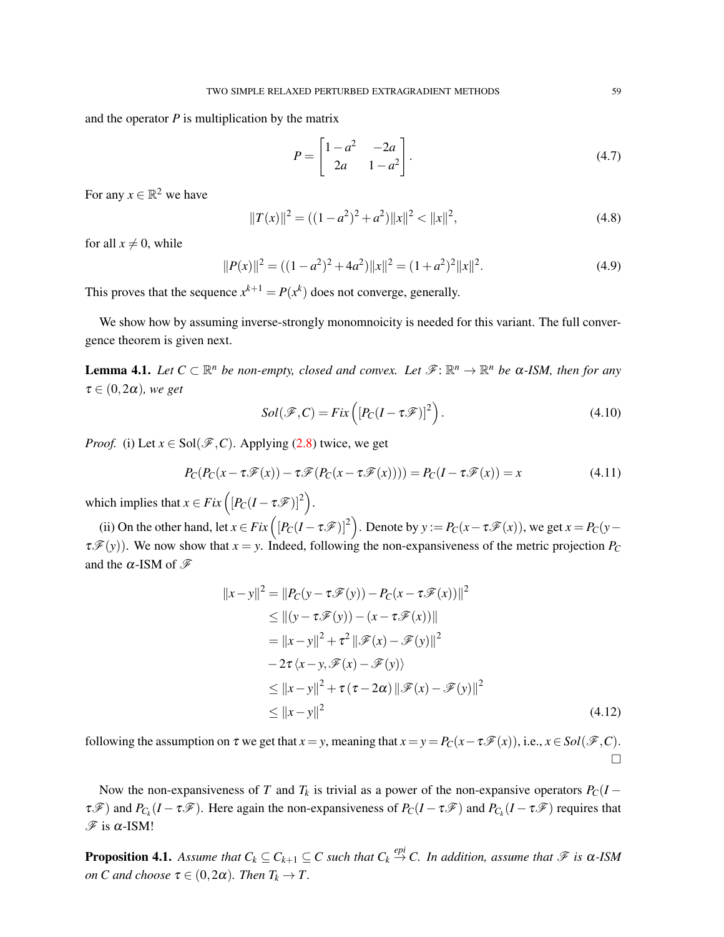and the operator  $P$  is multiplication by the matrix

$$
P = \begin{bmatrix} 1 - a^2 & -2a \\ 2a & 1 - a^2 \end{bmatrix}.
$$
 (4.7)

For any  $x \in \mathbb{R}^2$  we have

$$
||T(x)||^2 = ((1 - a^2)^2 + a^2)||x||^2 < ||x||^2,
$$
\n(4.8)

for all  $x \neq 0$ , while

$$
||P(x)||^2 = ((1 - a^2)^2 + 4a^2)||x||^2 = (1 + a^2)^2||x||^2.
$$
 (4.9)

This proves that the sequence  $x^{k+1} = P(x^k)$  does not converge, generally.

We show how by assuming inverse-strongly monomnoicity is needed for this variant. The full convergence theorem is given next.

**Lemma 4.1.** Let  $C \subset \mathbb{R}^n$  be non-empty, closed and convex. Let  $\mathscr{F}: \mathbb{R}^n \to \mathbb{R}^n$  be  $\alpha$ -ISM, then for any  $\tau \in (0, 2\alpha)$ *, we get* 

$$
Sol(\mathcal{F}, C) = Fix\left([P_C(I - \tau \mathcal{F})]^2\right).
$$
\n(4.10)

*Proof.* (i) Let  $x \in Sol(\mathcal{F}, C)$ . Applying [\(2.8\)](#page-1-2) twice, we get

$$
P_C(P_C(x - \tau \mathcal{F}(x)) - \tau \mathcal{F}(P_C(x - \tau \mathcal{F}(x)))) = P_C(I - \tau \mathcal{F}(x)) = x
$$
\n(4.11)

which implies that  $x \in Fix([P_C(I - \tau \mathscr{F})]^2)$ .

(ii) On the other hand, let  $x \in Fix\left([P_C(I - \tau \mathscr{F})]^2\right)$ . Denote by  $y := P_C(x - \tau \mathscr{F}(x))$ , we get  $x = P_C(y - \tau \mathscr{F}(x))$  $\tau \mathcal{F}(y)$ ). We now show that  $x = y$ . Indeed, following the non-expansiveness of the metric projection  $P_C$ and the  $\alpha$ -ISM of  $\mathscr{F}$ 

$$
||x - y||^2 = ||P_C(y - \tau \mathcal{F}(y)) - P_C(x - \tau \mathcal{F}(x))||^2
$$
  
\n
$$
\leq ||(y - \tau \mathcal{F}(y)) - (x - \tau \mathcal{F}(x))||
$$
  
\n
$$
= ||x - y||^2 + \tau^2 ||\mathcal{F}(x) - \mathcal{F}(y)||^2
$$
  
\n
$$
-2\tau \langle x - y, \mathcal{F}(x) - \mathcal{F}(y) \rangle
$$
  
\n
$$
\leq ||x - y||^2 + \tau (\tau - 2\alpha) ||\mathcal{F}(x) - \mathcal{F}(y)||^2
$$
  
\n
$$
\leq ||x - y||^2
$$
\n(4.12)

following the assumption on  $\tau$  we get that  $x = y$ , meaning that  $x = y = P_C(x - \tau \mathcal{F}(x))$ , i.e.,  $x \in Sol(\mathcal{F}, C)$ .  $\Box$ 

Now the non-expansiveness of *T* and  $T_k$  is trivial as a power of the non-expansive operators  $P_C(I - T_k)$  $\tau \mathcal{F}$ ) and  $P_{C_k}(I - \tau \mathcal{F})$ . Here again the non-expansiveness of  $P_C(I - \tau \mathcal{F})$  and  $P_{C_k}(I - \tau \mathcal{F})$  requires that  $\mathscr{F}$  is  $\alpha$ -ISM!

**Proposition 4.1.** Assume that  $C_k \subseteq C_{k+1} \subseteq C$  such that  $C_k \stackrel{epi}{\to} C$ . In addition, assume that  $\mathscr F$  is  $\alpha$ -ISM *on C and choose*  $\tau \in (0, 2\alpha)$ *. Then*  $T_k \to T$ *.*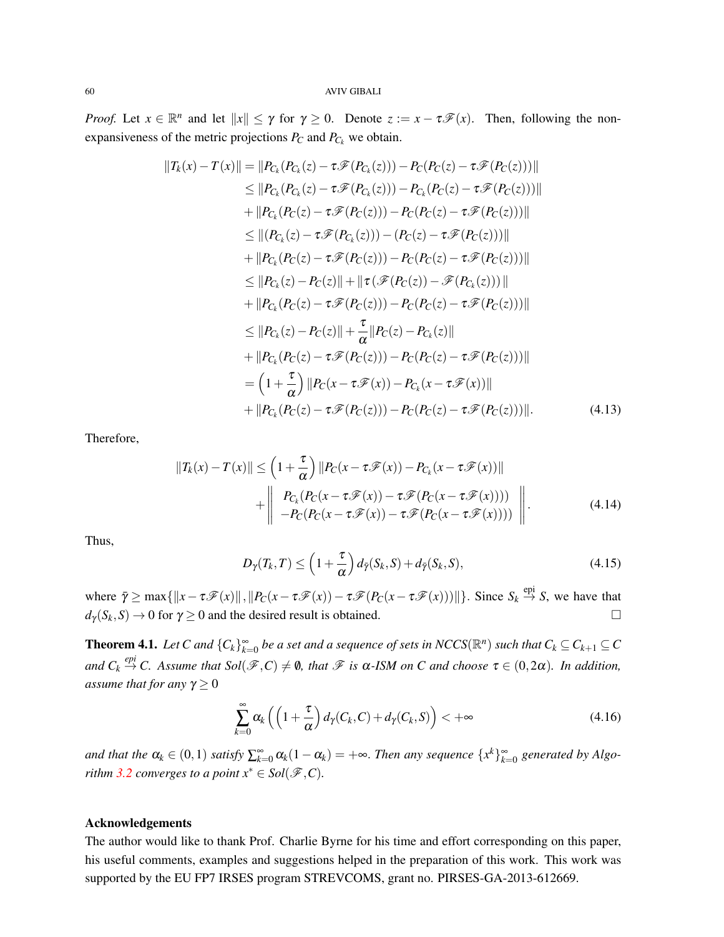*Proof.* Let  $x \in \mathbb{R}^n$  and let  $||x|| \leq \gamma$  for  $\gamma \geq 0$ . Denote  $z := x - \tau \mathcal{F}(x)$ . Then, following the nonexpansiveness of the metric projections  $P_C$  and  $P_{C_k}$  we obtain.

$$
||T_k(x) - T(x)|| = ||P_{C_k}(P_{C_k}(z) - \tau \mathcal{F}(P_{C_k}(z))) - P_C(P_C(z) - \tau \mathcal{F}(P_C(z)))||
$$
  
\n
$$
\leq ||P_{C_k}(P_{C_k}(z) - \tau \mathcal{F}(P_{C_k}(z))) - P_{C_k}(P_C(z) - \tau \mathcal{F}(P_C(z)))||
$$
  
\n
$$
+ ||P_{C_k}(P_C(z) - \tau \mathcal{F}(P_C(z))) - P_C(P_C(z) - \tau \mathcal{F}(P_C(z)))||
$$
  
\n
$$
\leq ||(P_{C_k}(z) - \tau \mathcal{F}(P_{C_k}(z))) - (P_C(z) - \tau \mathcal{F}(P_C(z)))||
$$
  
\n
$$
+ ||P_{C_k}(P_C(z) - \tau \mathcal{F}(P_C(z))) - P_C(P_C(z) - \tau \mathcal{F}(P_C(z)))||
$$
  
\n
$$
\leq ||P_{C_k}(z) - P_C(z)|| + ||\tau (\mathcal{F}(P_C(z)) - \mathcal{F}(P_{C_k}(z)))||
$$
  
\n
$$
+ ||P_{C_k}(P_C(z) - \tau \mathcal{F}(P_C(z))) - P_C(P_C(z) - \tau \mathcal{F}(P_C(z)))||
$$
  
\n
$$
\leq ||P_{C_k}(z) - P_C(z)|| + \frac{\tau}{\alpha} ||P_C(z) - P_{C_k}(z)||
$$
  
\n
$$
+ ||P_{C_k}(P_C(z) - \tau \mathcal{F}(P_C(z))) - P_C(P_C(z) - \tau \mathcal{F}(P_C(z)))||
$$
  
\n
$$
= (1 + \frac{\tau}{\alpha}) ||P_C(x - \tau \mathcal{F}(x)) - P_{C_k}(x - \tau \mathcal{F}(x))||
$$
  
\n
$$
+ ||P_{C_k}(P_C(z) - \tau \mathcal{F}(P_C(z))) - P_C(P_C(z) - \tau \mathcal{F}(P_C(z)))||.
$$
 (4.13)

Therefore,

$$
||T_k(x) - T(x)|| \le \left(1 + \frac{\tau}{\alpha}\right) ||P_C(x - \tau \mathcal{F}(x)) - P_{C_k}(x - \tau \mathcal{F}(x))||
$$
  
+ 
$$
\begin{vmatrix} P_{C_k}(P_C(x - \tau \mathcal{F}(x)) - \tau \mathcal{F}(P_C(x - \tau \mathcal{F}(x)))) \\ -P_C(P_C(x - \tau \mathcal{F}(x)) - \tau \mathcal{F}(P_C(x - \tau \mathcal{F}(x)))) \end{vmatrix}.
$$
 (4.14)

Thus,

$$
D_{\gamma}(T_k, T) \le \left(1 + \frac{\tau}{\alpha}\right) d_{\bar{\gamma}}(S_k, S) + d_{\bar{\gamma}}(S_k, S), \tag{4.15}
$$

where  $\bar{\gamma} \ge \max\{\Vert x - \tau \mathcal{F}(x) \Vert, \Vert P_C(x - \tau \mathcal{F}(x)) - \tau \mathcal{F}(P_C(x - \tau \mathcal{F}(x))) \Vert\}$ . Since  $S_k \stackrel{\text{epi}}{\rightarrow} S$ , we have that  $d_{\gamma}(S_k, S) \to 0$  for  $\gamma \ge 0$  and the desired result is obtained.

**Theorem 4.1.** Let C and  $\{C_k\}_{k=0}^{\infty}$  be a set and a sequence of sets in NCCS( $\mathbb{R}^n$ ) such that  $C_k \subseteq C_{k+1} \subseteq C$  $and C_k \stackrel{epi}{\rightarrow} C$ . Assume that  $Sol(\mathscr{F}, C) \neq \emptyset$ , that  $\mathscr{F}$  is  $\alpha$ -ISM on C and choose  $\tau \in (0, 2\alpha)$ . In addition, *assume that for any*  $\gamma \geq 0$ 

$$
\sum_{k=0}^{\infty} \alpha_k \left( \left( 1 + \frac{\tau}{\alpha} \right) d_{\gamma}(C_k, C) + d_{\gamma}(C_k, S) \right) < +\infty \tag{4.16}
$$

*and that the*  $\alpha_k \in (0,1)$  *satisfy*  $\sum_{k=0}^{\infty} \alpha_k (1-\alpha_k) = +\infty$ . Then any sequence  $\{x^k\}_{k=0}^{\infty}$  generated by Algo*rithm* [3.2](#page-7-3) *converges to a point*  $x^* \in Sol(\mathcal{F}, C)$ *.* 

# Acknowledgements

The author would like to thank Prof. Charlie Byrne for his time and effort corresponding on this paper, his useful comments, examples and suggestions helped in the preparation of this work. This work was supported by the EU FP7 IRSES program STREVCOMS, grant no. PIRSES-GA-2013-612669.